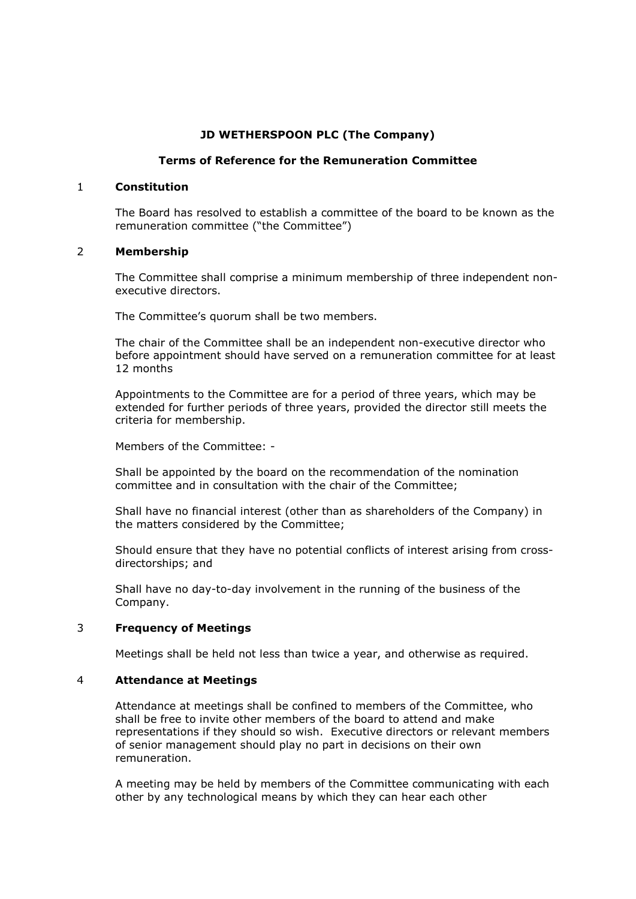## **JD WETHERSPOON PLC (The Company)**

#### **Terms of Reference for the Remuneration Committee**

#### 1 **Constitution**

The Board has resolved to establish a committee of the board to be known as the remuneration committee ("the Committee")

#### 2 **Membership**

The Committee shall comprise a minimum membership of three independent nonexecutive directors.

The Committee's quorum shall be two members.

The chair of the Committee shall be an independent non-executive director who before appointment should have served on a remuneration committee for at least 12 months

Appointments to the Committee are for a period of three years, which may be extended for further periods of three years, provided the director still meets the criteria for membership.

Members of the Committee: -

Shall be appointed by the board on the recommendation of the nomination committee and in consultation with the chair of the Committee;

Shall have no financial interest (other than as shareholders of the Company) in the matters considered by the Committee;

Should ensure that they have no potential conflicts of interest arising from crossdirectorships; and

Shall have no day-to-day involvement in the running of the business of the Company.

## 3 **Frequency of Meetings**

Meetings shall be held not less than twice a year, and otherwise as required.

#### 4 **Attendance at Meetings**

Attendance at meetings shall be confined to members of the Committee, who shall be free to invite other members of the board to attend and make representations if they should so wish. Executive directors or relevant members of senior management should play no part in decisions on their own remuneration.

A meeting may be held by members of the Committee communicating with each other by any technological means by which they can hear each other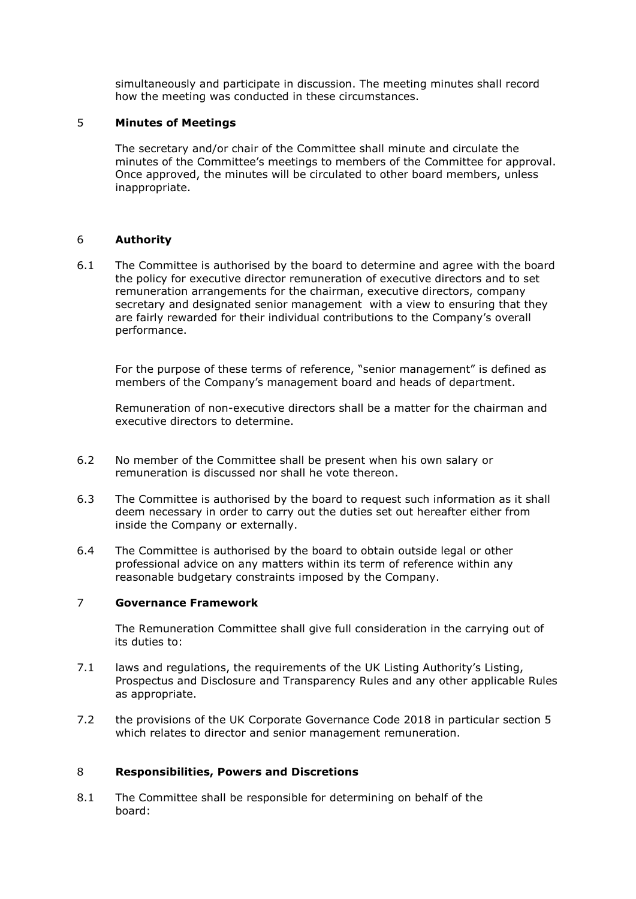simultaneously and participate in discussion. The meeting minutes shall record how the meeting was conducted in these circumstances.

## 5 **Minutes of Meetings**

The secretary and/or chair of the Committee shall minute and circulate the minutes of the Committee's meetings to members of the Committee for approval. Once approved, the minutes will be circulated to other board members, unless inappropriate.

## 6 **Authority**

6.1 The Committee is authorised by the board to determine and agree with the board the policy for executive director remuneration of executive directors and to set remuneration arrangements for the chairman, executive directors, company secretary and designated senior management with a view to ensuring that they are fairly rewarded for their individual contributions to the Company's overall performance.

For the purpose of these terms of reference, "senior management" is defined as members of the Company's management board and heads of department.

Remuneration of non-executive directors shall be a matter for the chairman and executive directors to determine.

- 6.2 No member of the Committee shall be present when his own salary or remuneration is discussed nor shall he vote thereon.
- 6.3 The Committee is authorised by the board to request such information as it shall deem necessary in order to carry out the duties set out hereafter either from inside the Company or externally.
- 6.4 The Committee is authorised by the board to obtain outside legal or other professional advice on any matters within its term of reference within any reasonable budgetary constraints imposed by the Company.

#### 7 **Governance Framework**

The Remuneration Committee shall give full consideration in the carrying out of its duties to:

- 7.1 laws and regulations, the requirements of the UK Listing Authority's Listing, Prospectus and Disclosure and Transparency Rules and any other applicable Rules as appropriate.
- 7.2 the provisions of the UK Corporate Governance Code 2018 in particular section 5 which relates to director and senior management remuneration.

#### 8 **Responsibilities, Powers and Discretions**

8.1 The Committee shall be responsible for determining on behalf of the board: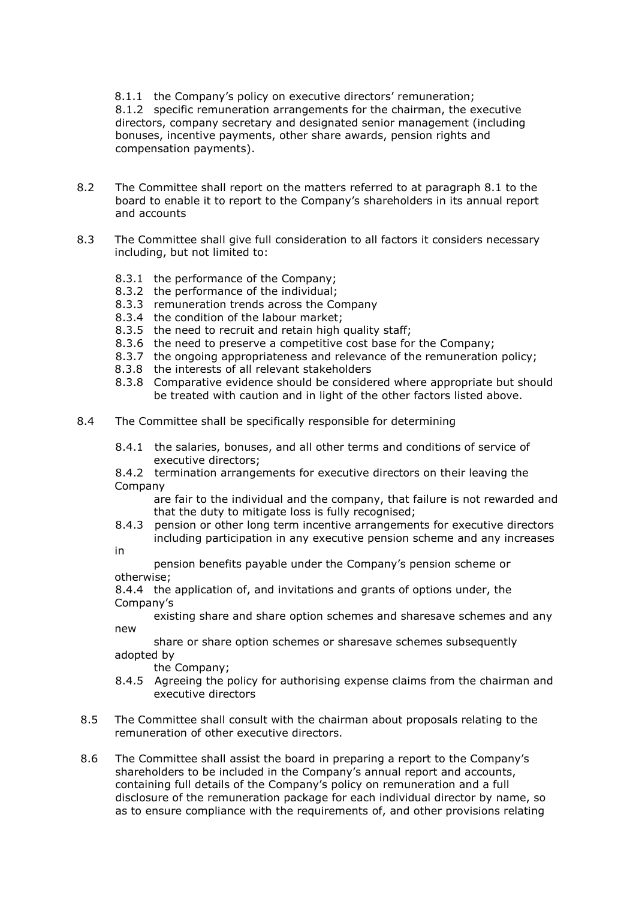8.1.1 the Company's policy on executive directors' remuneration;

8.1.2 specific remuneration arrangements for the chairman, the executive directors, company secretary and designated senior management (including bonuses, incentive payments, other share awards, pension rights and compensation payments).

- 8.2 The Committee shall report on the matters referred to at paragraph 8.1 to the board to enable it to report to the Company's shareholders in its annual report and accounts
- 8.3 The Committee shall give full consideration to all factors it considers necessary including, but not limited to:
	- 8.3.1 the performance of the Company;
	- 8.3.2 the performance of the individual;
	- 8.3.3 remuneration trends across the Company
	- 8.3.4 the condition of the labour market;
	- 8.3.5 the need to recruit and retain high quality staff;
	- 8.3.6 the need to preserve a competitive cost base for the Company;
	- 8.3.7 the ongoing appropriateness and relevance of the remuneration policy;
	- 8.3.8 the interests of all relevant stakeholders
	- 8.3.8 Comparative evidence should be considered where appropriate but should be treated with caution and in light of the other factors listed above.
- 8.4 The Committee shall be specifically responsible for determining
	- 8.4.1 the salaries, bonuses, and all other terms and conditions of service of executive directors;
	- 8.4.2 termination arrangements for executive directors on their leaving the Company

are fair to the individual and the company, that failure is not rewarded and that the duty to mitigate loss is fully recognised;

8.4.3 pension or other long term incentive arrangements for executive directors including participation in any executive pension scheme and any increases

in

pension benefits payable under the Company's pension scheme or otherwise;

8.4.4 the application of, and invitations and grants of options under, the Company's

existing share and share option schemes and sharesave schemes and any new

share or share option schemes or sharesave schemes subsequently adopted by

the Company;

- 8.4.5 Agreeing the policy for authorising expense claims from the chairman and executive directors
- 8.5 The Committee shall consult with the chairman about proposals relating to the remuneration of other executive directors.
- 8.6 The Committee shall assist the board in preparing a report to the Company's shareholders to be included in the Company's annual report and accounts, containing full details of the Company's policy on remuneration and a full disclosure of the remuneration package for each individual director by name, so as to ensure compliance with the requirements of, and other provisions relating